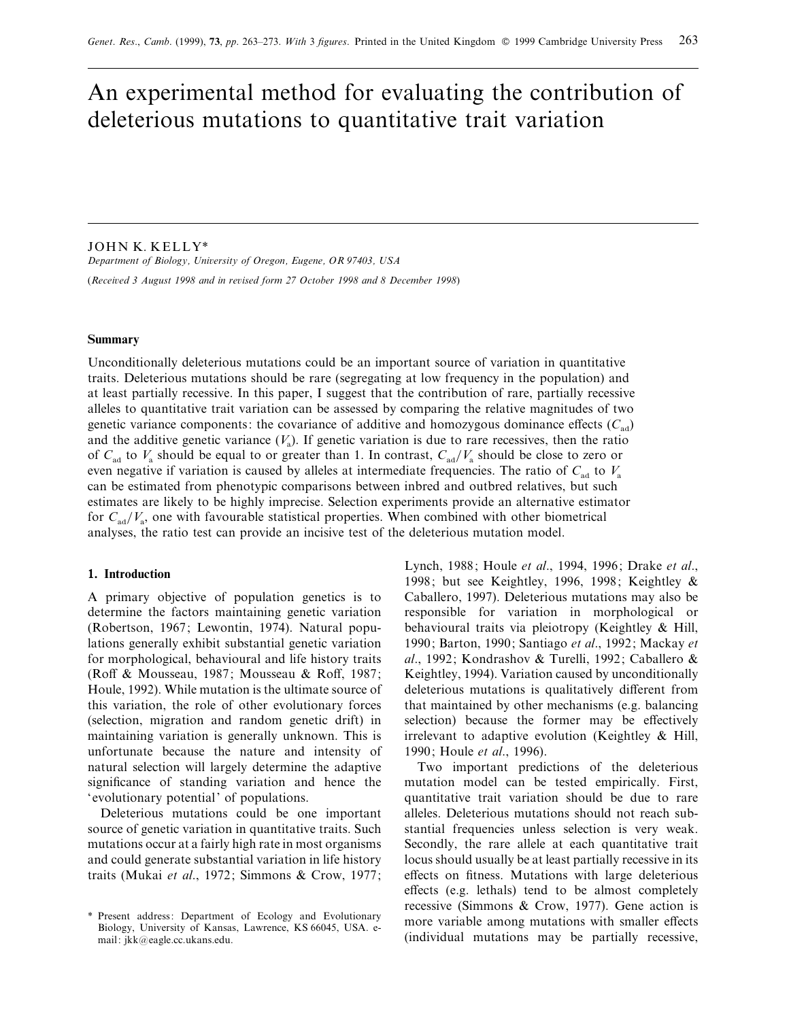# An experimental method for evaluating the contribution of deleterious mutations to quantitative trait variation

JOHN K. KELLY\*

*Department of Biology, Uniersity of Oregon, Eugene, OR 97403, USA* (*Receied 3 August 1998 and in reised form 27 October 1998 and 8 December 1998*)

# **Summary**

Unconditionally deleterious mutations could be an important source of variation in quantitative traits. Deleterious mutations should be rare (segregating at low frequency in the population) and at least partially recessive. In this paper, I suggest that the contribution of rare, partially recessive alleles to quantitative trait variation can be assessed by comparing the relative magnitudes of two genetic variance components: the covariance of additive and homozygous dominance effects  $(C_{ad})$ and the additive genetic variance  $(V_a)$ . If genetic variation is due to rare recessives, then the ratio of  $C_{\text{ad}}$  to  $V_{\text{a}}$  should be equal to or greater than 1. In contrast,  $C_{\text{ad}}/V_{\text{a}}$  should be close to zero or even negative if variation is caused by alleles at intermediate frequencies. The ratio of  $C_{\text{ad}}$ can be estimated from phenotypic comparisons between inbred and outbred relatives, but such estimates are likely to be highly imprecise. Selection experiments provide an alternative estimator for  $C_{\text{ad}}/V_a$ , one with favourable statistical properties. When combined with other biometrical analyses, the ratio test can provide an incisive test of the deleterious mutation model.

# **1. Introduction**

A primary objective of population genetics is to determine the factors maintaining genetic variation (Robertson, 1967; Lewontin, 1974). Natural populations generally exhibit substantial genetic variation for morphological, behavioural and life history traits (Roff & Mousseau, 1987; Mousseau & Roff, 1987; Houle, 1992). While mutation is the ultimate source of this variation, the role of other evolutionary forces (selection, migration and random genetic drift) in maintaining variation is generally unknown. This is unfortunate because the nature and intensity of natural selection will largely determine the adaptive significance of standing variation and hence the 'evolutionary potential' of populations.

Deleterious mutations could be one important source of genetic variation in quantitative traits. Such mutations occur at a fairly high rate in most organisms and could generate substantial variation in life history traits (Mukai *et al*., 1972; Simmons & Crow, 1977;

Lynch, 1988; Houle *et al*., 1994, 1996; Drake *et al*., 1998; but see Keightley, 1996, 1998; Keightley & Caballero, 1997). Deleterious mutations may also be responsible for variation in morphological or behavioural traits via pleiotropy (Keightley & Hill, 1990; Barton, 1990; Santiago *et al*., 1992; Mackay *et al*., 1992; Kondrashov & Turelli, 1992; Caballero & Keightley, 1994). Variation caused by unconditionally deleterious mutations is qualitatively different from that maintained by other mechanisms (e.g. balancing selection) because the former may be effectively irrelevant to adaptive evolution (Keightley & Hill, 1990; Houle *et al*., 1996).

Two important predictions of the deleterious mutation model can be tested empirically. First, quantitative trait variation should be due to rare alleles. Deleterious mutations should not reach substantial frequencies unless selection is very weak. Secondly, the rare allele at each quantitative trait locus should usually be at least partially recessive in its effects on fitness. Mutations with large deleterious effects (e.g. lethals) tend to be almost completely recessive (Simmons & Crow, 1977). Gene action is more variable among mutations with smaller effects (individual mutations may be partially recessive,

<sup>\*</sup> Present address: Department of Ecology and Evolutionary Biology, University of Kansas, Lawrence, KS 66045, USA. email: jkk@eagle.cc.ukans.edu.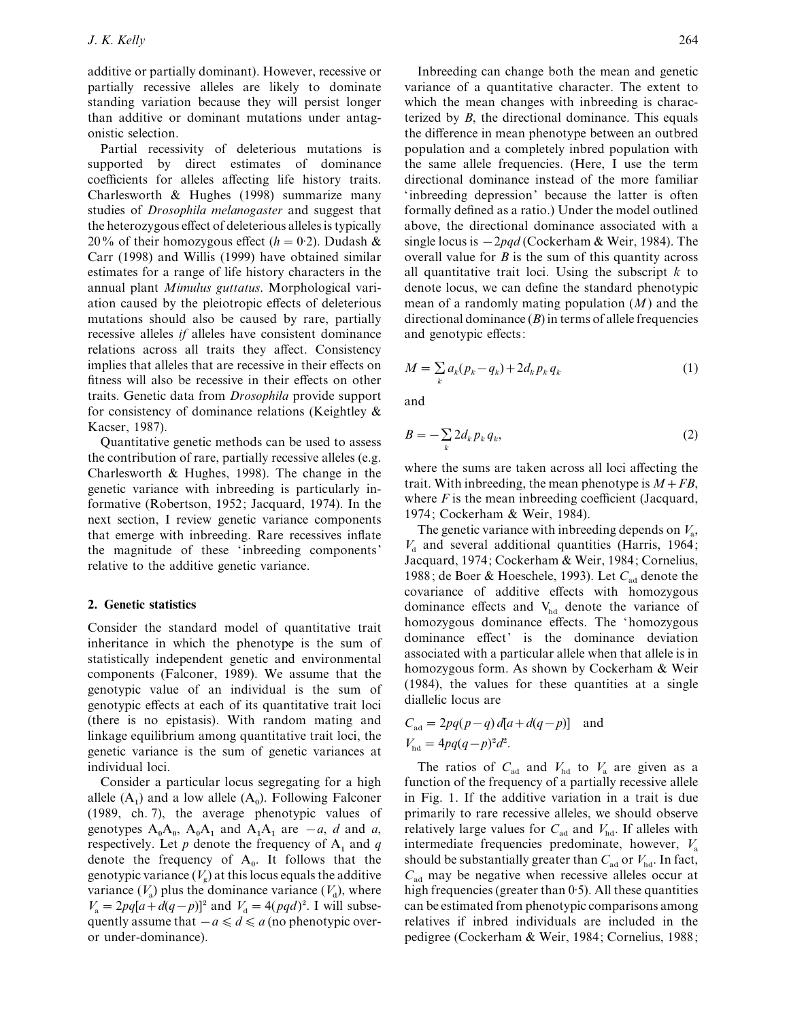additive or partially dominant). However, recessive or partially recessive alleles are likely to dominate standing variation because they will persist longer than additive or dominant mutations under antagonistic selection.

Partial recessivity of deleterious mutations is supported by direct estimates of dominance coefficients for alleles affecting life history traits. Charlesworth & Hughes (1998) summarize many studies of *Drosophila melanogaster* and suggest that the heterozygous effect of deleterious alleles is typically 20% of their homozygous effect ( $h=0.2$ ). Dudash & Carr (1998) and Willis (1999) have obtained similar estimates for a range of life history characters in the annual plant *Mimulus guttatus*. Morphological variation caused by the pleiotropic effects of deleterious mutations should also be caused by rare, partially recessive alleles *if* alleles have consistent dominance relations across all traits they affect. Consistency implies that alleles that are recessive in their effects on fitness will also be recessive in their effects on other traits. Genetic data from *Drosophila* provide support for consistency of dominance relations (Keightley & Kacser, 1987).

Quantitative genetic methods can be used to assess the contribution of rare, partially recessive alleles (e.g. Charlesworth & Hughes, 1998). The change in the genetic variance with inbreeding is particularly informative (Robertson, 1952; Jacquard, 1974). In the next section, I review genetic variance components that emerge with inbreeding. Rare recessives inflate the magnitude of these 'inbreeding components' relative to the additive genetic variance.

# **2. Genetic statistics**

Consider the standard model of quantitative trait inheritance in which the phenotype is the sum of statistically independent genetic and environmental components (Falconer, 1989). We assume that the genotypic value of an individual is the sum of genotypic effects at each of its quantitative trait loci (there is no epistasis). With random mating and linkage equilibrium among quantitative trait loci, the genetic variance is the sum of genetic variances at individual loci.

Consider a particular locus segregating for a high allele  $(A_1)$  and a low allele  $(A_0)$ . Following Falconer (1989, ch. 7), the average phenotypic values of genotypes  $A_0A_0$ ,  $A_0A_1$  and  $A_1A_1$  are  $-a$ , *d* and *a*, respectively. Let  $p$  denote the frequency of  $A_1$  and  $q$ denote the frequency of  $A_0$ . It follows that the genotypic variance  $(V_g)$  at this locus equals the additive variance  $(V_a)$  plus the dominance variance  $(V_d)$ , where  $V_a = 2pq[a + d(q - p)]^2$  and  $V_d = 4(pqd)^2$ . I will subsequently assume that  $-a \leq d \leq a$  (no phenotypic overor under-dominance).

Inbreeding can change both the mean and genetic variance of a quantitative character. The extent to which the mean changes with inbreeding is characterized by *B*, the directional dominance. This equals the difference in mean phenotype between an outbred population and a completely inbred population with the same allele frequencies. (Here, I use the term directional dominance instead of the more familiar 'inbreeding depression' because the latter is often formally defined as a ratio.) Under the model outlined above, the directional dominance associated with a single locus is  $-2pqd$  (Cockerham & Weir, 1984). The overall value for *B* is the sum of this quantity across all quantitative trait loci. Using the subscript *k* to denote locus, we can define the standard phenotypic mean of a randomly mating population (*M*) and the directional dominance  $(B)$  in terms of allele frequencies and genotypic effects:

$$
M = \sum_{k} a_k (p_k - q_k) + 2d_k p_k q_k \tag{1}
$$

and

$$
B = -\sum_{k} 2d_k p_k q_k, \tag{2}
$$

where the sums are taken across all loci affecting the trait. With inbreeding, the mean phenotype is  $M + FB$ , where *F* is the mean inbreeding coefficient (Jacquard, 1974; Cockerham & Weir, 1984).

The genetic variance with inbreeding depends on *V*<sup>a</sup> ,  $V<sub>d</sub>$  and several additional quantities (Harris, 1964; Jacquard, 1974; Cockerham & Weir, 1984; Cornelius, 1988; de Boer & Hoeschele, 1993). Let  $C_{ad}$  denote the covariance of additive effects with homozygous dominance effects and  $V_{\text{hd}}$  denote the variance of homozygous dominance effects. The 'homozygous dominance effect' is the dominance deviation associated with a particular allele when that allele is in homozygous form. As shown by Cockerham & Weir (1984), the values for these quantities at a single diallelic locus are

$$
C_{\text{ad}} = 2pq(p-q) d[a+d(q-p)] \text{ and}
$$
  

$$
V_{\text{hd}} = 4pq(q-p)^2 d^2.
$$

The ratios of  $C_{ad}$  and  $V_{hd}$  to  $V_a$  are given as a function of the frequency of a partially recessive allele in Fig. 1. If the additive variation in a trait is due primarily to rare recessive alleles, we should observe relatively large values for  $C_{ad}$  and  $V_{hd}$ . If alleles with intermediate frequencies predominate, however,  $V_a$ should be substantially greater than  $C_{\text{ad}}$  or  $V_{\text{hd}}$ . In fact,  $C_{\text{ad}}$  may be negative when recessive alleles occur at high frequencies (greater than  $0.5$ ). All these quantities can be estimated from phenotypic comparisons among relatives if inbred individuals are included in the pedigree (Cockerham & Weir, 1984; Cornelius, 1988;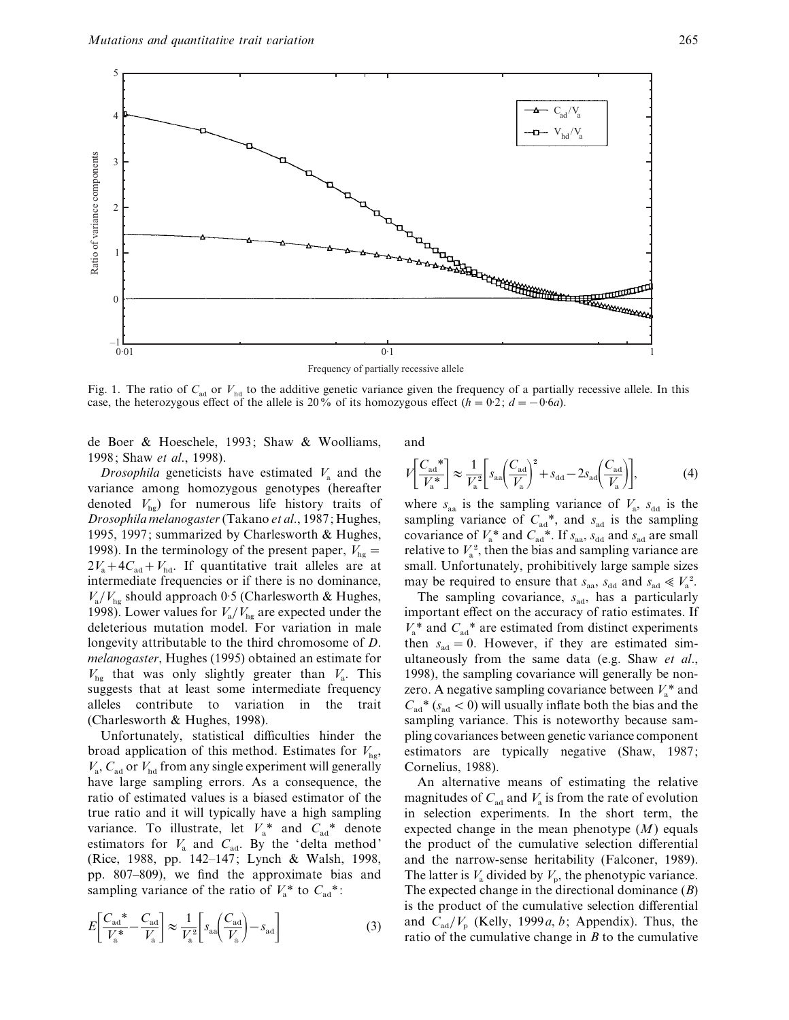

Fig. 1. The ratio of  $C_{ad}$  or  $V_{bd}$  to the additive genetic variance given the frequency of a partially recessive allele. In this case, the heterozygous effect of the allele is 20% of its homozygous effect ( $h = 0.2$ ;  $d = -0.6a$ ).

de Boer & Hoeschele, 1993; Shaw & Woolliams, 1998; Shaw *et al*., 1998).

*Drosophila* geneticists have estimated  $V_a$  and the variance among homozygous genotypes (hereafter denoted  $V_{\text{ho}}$ ) for numerous life history traits of *Drosophila melanogaster*(Takano *et al*., 1987; Hughes, 1995, 1997; summarized by Charlesworth & Hughes, 1998). In the terminology of the present paper,  $V_{\text{he}} =$  $2V_a + 4C_{ad} + V_{hd}$ . If quantitative trait alleles are at intermediate frequencies or if there is no dominance,  $V_{\rm a}/V_{\rm hg}$  should approach 0.5 (Charlesworth & Hughes, 1998). Lower values for  $V_a/V_{\text{hg}}$  are expected under the deleterious mutation model. For variation in male longevity attributable to the third chromosome of *D*. *melanogaster*, Hughes (1995) obtained an estimate for  $V_{\text{hg}}$  that was only slightly greater than  $V_{\text{a}}$ . This suggests that at least some intermediate frequency alleles contribute to variation in the trait (Charlesworth & Hughes, 1998).

Unfortunately, statistical difficulties hinder the broad application of this method. Estimates for  $V_{\text{ho}}$ ,  $V_{\rm a}$ ,  $C_{\rm ad}$  or  $V_{\rm hd}$  from any single experiment will generally have large sampling errors. As a consequence, the ratio of estimated values is a biased estimator of the true ratio and it will typically have a high sampling variance. To illustrate, let  $V_a^*$  and  $C_{aa}^*$  denote estimators for  $V_a$  and  $C_{ad}$ . By the 'delta method' (Rice, 1988, pp. 142–147; Lynch & Walsh, 1998, pp. 807–809), we find the approximate bias and sampling variance of the ratio of  $V_a^*$  to  $C_{aa}^*$ :

$$
E\left[\frac{C_{\text{ad}}^{*}}{V_{\text{a}}^{*}} - \frac{C_{\text{ad}}}{V_{\text{a}}}\right] \approx \frac{1}{V_{\text{a}}^{2}} \left[s_{\text{aa}} \left(\frac{C_{\text{ad}}}{V_{\text{a}}}\right) - s_{\text{ad}}\right]
$$
(3)

and

$$
V\left[\frac{C_{\text{ad}}^*}{V_{\text{a}}^*}\right] \approx \frac{1}{V_{\text{a}}^2} \left[s_{\text{aa}} \left(\frac{C_{\text{ad}}}{V_{\text{a}}}\right)^2 + s_{\text{dd}} - 2s_{\text{ad}} \left(\frac{C_{\text{ad}}}{V_{\text{a}}}\right)\right],\tag{4}
$$

where  $s_{aa}$  is the sampling variance of  $V_a$ ,  $s_{dd}$  is the sampling variance of  $C_{\text{ad}}^*$ , and  $s_{\text{ad}}$  is the sampling covariance of  $V_a^*$  and  $C_{\text{ad}}^*$ . If  $s_{\text{aa}}$ ,  $s_{\text{dd}}$  and  $s_{\text{ad}}$  are small covariance of  $V_a$  and  $C_{ad}$ . If  $S_{aa}$ ,  $S_{dd}$  and  $S_{ad}$  are small<br>relative to  $V_a$ <sup>2</sup>, then the bias and sampling variance are small. Unfortunately, prohibitively large sample sizes may be required to ensure that  $s_{aa}$ ,  $s_{dd}$  and  $s_{ad} \le V_a^2$ .

The sampling covariance,  $s_{ad}$ , has a particularly important effect on the accuracy of ratio estimates. If  $V_a^*$  and  $C_{aa}^*$  are estimated from distinct experiments then  $s_{\text{ad}} = 0$ . However, if they are estimated simultaneously from the same data (e.g. Shaw *et al*., 1998), the sampling covariance will generally be nonzero. A negative sampling covariance between  $V_a^*$  and  $C_{\text{ad}}$ <sup>\*</sup> ( $s_{\text{ad}}$  < 0) will usually inflate both the bias and the sampling variance. This is noteworthy because sampling covariances between genetic variance component estimators are typically negative (Shaw, 1987; Cornelius, 1988).

An alternative means of estimating the relative magnitudes of  $C_{ad}$  and  $V_a$  is from the rate of evolution in selection experiments. In the short term, the expected change in the mean phenotype (*M*) equals the product of the cumulative selection differential and the narrow-sense heritability (Falconer, 1989). The latter is  $V_a$  divided by  $V_p$ , the phenotypic variance. The expected change in the directional dominance (*B*) is the product of the cumulative selection differential and  $C_{ad}/V_p$  (Kelly, 1999*a*, *b*; Appendix). Thus, the ratio of the cumulative change in *B* to the cumulative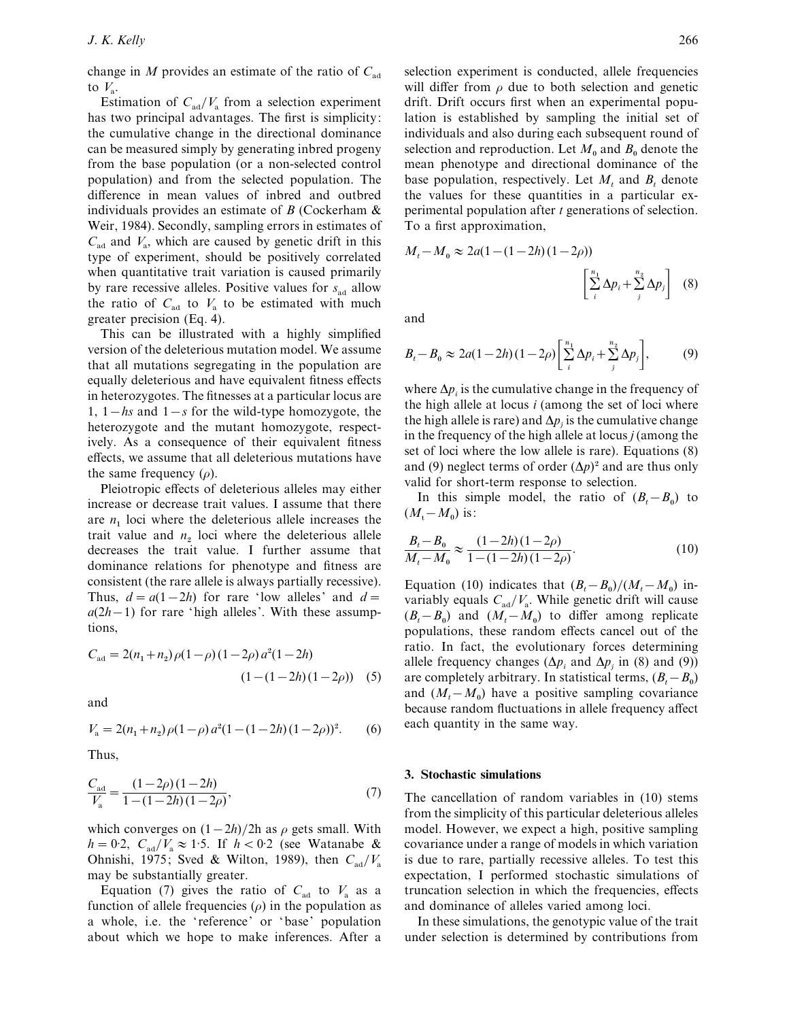change in *M* provides an estimate of the ratio of  $C_{ad}$ to  $V_{\circ}$ .

Estimation of  $C_{\text{ad}}/V_{\text{a}}$  from a selection experiment has two principal advantages. The first is simplicity: the cumulative change in the directional dominance can be measured simply by generating inbred progeny from the base population (or a non-selected control population) and from the selected population. The difference in mean values of inbred and outbred individuals provides an estimate of *B* (Cockerham & Weir, 1984). Secondly, sampling errors in estimates of  $C_{\text{ad}}$  and  $V_{\text{a}}$ , which are caused by genetic drift in this type of experiment, should be positively correlated when quantitative trait variation is caused primarily by rare recessive alleles. Positive values for  $s_{\text{ad}}$  allow the ratio of  $C_{ad}$  to  $V_a$  to be estimated with much greater precision (Eq. 4).

This can be illustrated with a highly simplified version of the deleterious mutation model. We assume that all mutations segregating in the population are equally deleterious and have equivalent fitness effects in heterozygotes. The fitnesses at a particular locus are 1,  $1 - hs$  and  $1 - s$  for the wild-type homozygote, the heterozygote and the mutant homozygote, respectively. As a consequence of their equivalent fitness effects, we assume that all deleterious mutations have the same frequency  $(\rho)$ .

Pleiotropic effects of deleterious alleles may either increase or decrease trait values. I assume that there are  $n_1$  loci where the deleterious allele increases the trait value and  $n_2$  loci where the deleterious allele decreases the trait value. I further assume that dominance relations for phenotype and fitness are consistent (the rare allele is always partially recessive). Thus,  $d = a(1-2h)$  for rare 'low alleles' and  $d =$  $a(2h-1)$  for rare 'high alleles'. With these assumptions,

$$
C_{\text{ad}} = 2(n_1 + n_2)\rho(1 - \rho)(1 - 2\rho)a^2(1 - 2h)
$$
  

$$
(1 - (1 - 2h)(1 - 2\rho))
$$
 (5)

and

$$
V_{\rm a} = 2(n_1 + n_2)\rho(1 - \rho) a^2 (1 - (1 - 2h)(1 - 2\rho))^2.
$$
 (6)

Thus,

$$
\frac{C_{\text{ad}}}{V_{\text{a}}} = \frac{(1 - 2\rho)(1 - 2h)}{1 - (1 - 2h)(1 - 2\rho)},\tag{7}
$$

which converges on  $(1-2h)/2h$  as  $\rho$  gets small. With  $h = 0.2$ ,  $C_{ad}/V_a \approx 1.5$ . If  $h < 0.2$  (see Watanabe & Ohnishi, 1975; Sved & Wilton, 1989), then  $C_{\text{ad}}/V_{\text{a}}$  may be substantially greater.

Equation (7) gives the ratio of  $C_{ad}$  to  $V_a$  as a function of allele frequencies  $(\rho)$  in the population as a whole, i.e. the ' reference' or 'base' population about which we hope to make inferences. After a

selection experiment is conducted, allele frequencies will differ from  $\rho$  due to both selection and genetic drift. Drift occurs first when an experimental population is established by sampling the initial set of individuals and also during each subsequent round of selection and reproduction. Let  $M_0$  and  $B_0$  denote the mean phenotype and directional dominance of the base population, respectively. Let *M<sup>t</sup>* and *B<sup>t</sup>* denote the values for these quantities in a particular experimental population after *t* generations of selection. To a first approximation,

$$
M_t - M_0 \approx 2a(1 - (1 - 2h)(1 - 2\rho))
$$

$$
\left[\sum_{i=1}^{n_1} \Delta p_i + \sum_{j=1}^{n_2} \Delta p_j\right] (8)
$$

and

$$
B_t - B_0 \approx 2a(1 - 2h)(1 - 2\rho) \left[ \sum_{i=1}^{n_1} \Delta p_i + \sum_{j=1}^{n_2} \Delta p_j \right],
$$
 (9)

where ∆*p<sup>i</sup>* is the cumulative change in the frequency of the high allele at locus *i* (among the set of loci where the high allele is rare) and  $\Delta p_j$  is the cumulative change in the frequency of the high allele at locus *j* (among the set of loci where the low allele is rare). Equations (8) and (9) neglect terms of order  $(\Delta p)^2$  and are thus only valid for short-term response to selection.

In this simple model, the ratio of  $(B_t - B_0)$  to  $(M_t - M_0)$  is:

$$
\frac{B_t - B_0}{M_t - M_0} \approx \frac{(1 - 2h)(1 - 2\rho)}{1 - (1 - 2h)(1 - 2\rho)}.
$$
\n(10)

Equation (10) indicates that  $(B_t - B_0)/(M_t - M_0)$  invariably equals  $C_{\text{ad}}/V_a$ . While genetic drift will cause  $(B_t - B_0)$  and  $(M_t - M_0)$  to differ among replicate populations, these random effects cancel out of the ratio. In fact, the evolutionary forces determining allele frequency changes ( $\Delta p_i$  and  $\Delta p_j$  in (8) and (9)) are completely arbitrary. In statistical terms,  $(B_t - B_0)$ and  $(M_t - M_0)$  have a positive sampling covariance because random fluctuations in allele frequency affect each quantity in the same way.

#### **3. Stochastic simulations**

The cancellation of random variables in (10) stems from the simplicity of this particular deleterious alleles model. However, we expect a high, positive sampling covariance under a range of models in which variation is due to rare, partially recessive alleles. To test this expectation, I performed stochastic simulations of truncation selection in which the frequencies, effects and dominance of alleles varied among loci.

In these simulations, the genotypic value of the trait under selection is determined by contributions from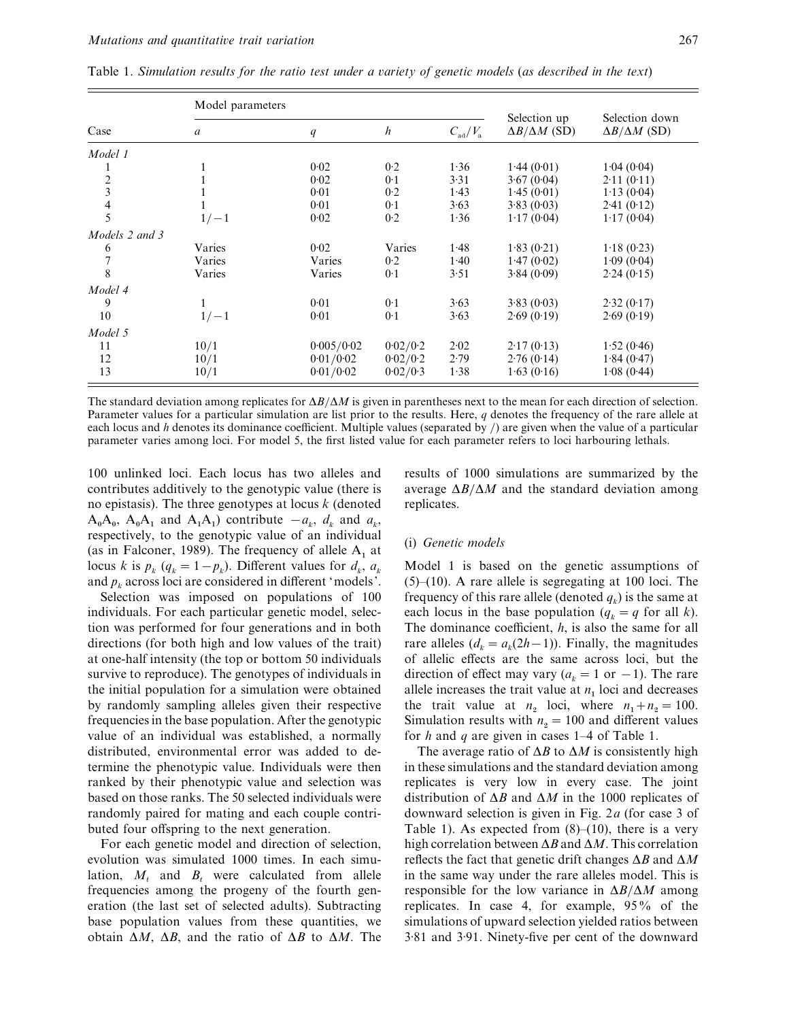| Case                     | Model parameters |            |                  |                        |                                          |                                            |
|--------------------------|------------------|------------|------------------|------------------------|------------------------------------------|--------------------------------------------|
|                          | a                | q          | $\boldsymbol{h}$ | $C_{\rm ad}/V_{\rm a}$ | Selection up<br>$\Delta B/\Delta M$ (SD) | Selection down<br>$\Delta B/\Delta M$ (SD) |
| Model 1                  |                  |            |                  |                        |                                          |                                            |
|                          |                  | 0.02       | 0.2              | 1.36                   | 1.44(0.01)                               | 1.04(0.04)                                 |
| $\overline{\mathbf{c}}$  |                  | 0.02       | 0.1              | 3.31                   | 3.67(0.04)                               | 2.11(0.11)                                 |
| 3                        |                  | 0.01       | 0.2              | 1.43                   | 1.45(0.01)                               | 1.13(0.04)                                 |
| $\overline{\mathcal{L}}$ |                  | 0.01       | 0.1              | 3.63                   | 3.83(0.03)                               | 2.41(0.12)                                 |
| 5                        | $1/-1$           | 0.02       | 0.2              | 1.36                   | 1.17(0.04)                               | 1.17(0.04)                                 |
| Models 2 and 3           |                  |            |                  |                        |                                          |                                            |
| 6                        | Varies           | 0.02       | Varies           | 1.48                   | 1.83(0.21)                               | 1.18(0.23)                                 |
| 7                        | Varies           | Varies     | 0.2              | 1.40                   | 1.47(0.02)                               | 1.09(0.04)                                 |
| 8                        | Varies           | Varies     | 0.1              | 3.51                   | 3.84(0.09)                               | 2.24(0.15)                                 |
| Model 4                  |                  |            |                  |                        |                                          |                                            |
| 9                        | 1                | 0.01       | 0.1              | 3.63                   | 3.83(0.03)                               | 2.32(0.17)                                 |
| 10                       | $1/-1$           | 0.01       | 0.1              | 3.63                   | 2.69(0.19)                               | 2.69(0.19)                                 |
| Model 5                  |                  |            |                  |                        |                                          |                                            |
| 11                       | 10/1             | 0.005/0.02 | 0.02/0.2         | 2.02                   | 2.17(0.13)                               | 1.52(0.46)                                 |
| 12                       | 10/1             | 0.01/0.02  | 0.02/0.2         | 2.79                   | 2.76(0.14)                               | 1.84(0.47)                                 |
| 13                       | 10/1             | 0.01/0.02  | 0.02/0.3         | 1.38                   | 1.63(0.16)                               | 1.08(0.44)                                 |

Table 1. *Simulation results for the ratio test under a ariety of genetic models* (*as described in the text*)

The standard deviation among replicates for ∆*B*}∆*M* is given in parentheses next to the mean for each direction of selection. Parameter values for a particular simulation are list prior to the results. Here, *q* denotes the frequency of the rare allele at each locus and *h* denotes its dominance coefficient. Multiple values (separated by /) are given when the value of a particular parameter varies among loci. For model 5, the first listed value for each parameter refers to loci harbouring lethals.

100 unlinked loci. Each locus has two alleles and contributes additively to the genotypic value (there is no epistasis). The three genotypes at locus *k* (denoted  $A_0A_0$ ,  $A_0A_1$  and  $A_1A_1$  contribute  $-a_k$ ,  $d_k$  and  $a_k$ , respectively, to the genotypic value of an individual (as in Falconer, 1989). The frequency of allele  $A_1$  at locus *k* is  $p_k$  ( $q_k = 1 - p_k$ ). Different values for  $d_k$ ,  $a_k$  and  $p_k$  across loci are considered in different 'models'.

Selection was imposed on populations of 100 individuals. For each particular genetic model, selection was performed for four generations and in both directions (for both high and low values of the trait) at one-half intensity (the top or bottom 50 individuals survive to reproduce). The genotypes of individuals in the initial population for a simulation were obtained by randomly sampling alleles given their respective frequencies in the base population. After the genotypic value of an individual was established, a normally distributed, environmental error was added to determine the phenotypic value. Individuals were then ranked by their phenotypic value and selection was based on those ranks. The 50 selected individuals were randomly paired for mating and each couple contributed four offspring to the next generation.

For each genetic model and direction of selection, evolution was simulated 1000 times. In each simulation,  $M_t$  and  $B_t$  were calculated from allele frequencies among the progeny of the fourth generation (the last set of selected adults). Subtracting base population values from these quantities, we obtain ∆*M*, ∆*B*, and the ratio of ∆*B* to ∆*M*. The results of 1000 simulations are summarized by the average ∆*B*}∆*M* and the standard deviation among replicates.

#### (i) *Genetic models*

Model 1 is based on the genetic assumptions of  $(5)$ – $(10)$ . A rare allele is segregating at 100 loci. The frequency of this rare allele (denoted  $q_k$ ) is the same at each locus in the base population  $(q_k = q \text{ for all } k)$ . The dominance coefficient, *h*, is also the same for all rare alleles  $(d_k = a_k(2h-1))$ . Finally, the magnitudes of allelic effects are the same across loci, but the direction of effect may vary  $(a_k = 1 \text{ or } -1)$ . The rare allele increases the trait value at  $n_1$  loci and decreases the trait value at  $n_2$  loci, where  $n_1 + n_2 = 100$ . Simulation results with  $n_2 = 100$  and different values for *h* and *q* are given in cases 1–4 of Table 1.

The average ratio of ∆*B* to ∆*M* is consistently high in these simulations and the standard deviation among replicates is very low in every case. The joint distribution of ∆*B* and ∆*M* in the 1000 replicates of downward selection is given in Fig. 2*a* (for case 3 of Table 1). As expected from  $(8)$ – $(10)$ , there is a very high correlation between ∆*B* and ∆*M*. This correlation reflects the fact that genetic drift changes ∆*B* and ∆*M* in the same way under the rare alleles model. This is responsible for the low variance in ∆*B*}∆*M* among replicates. In case 4, for example, 95% of the simulations of upward selection yielded ratios between 3±81 and 3±91. Ninety-five per cent of the downward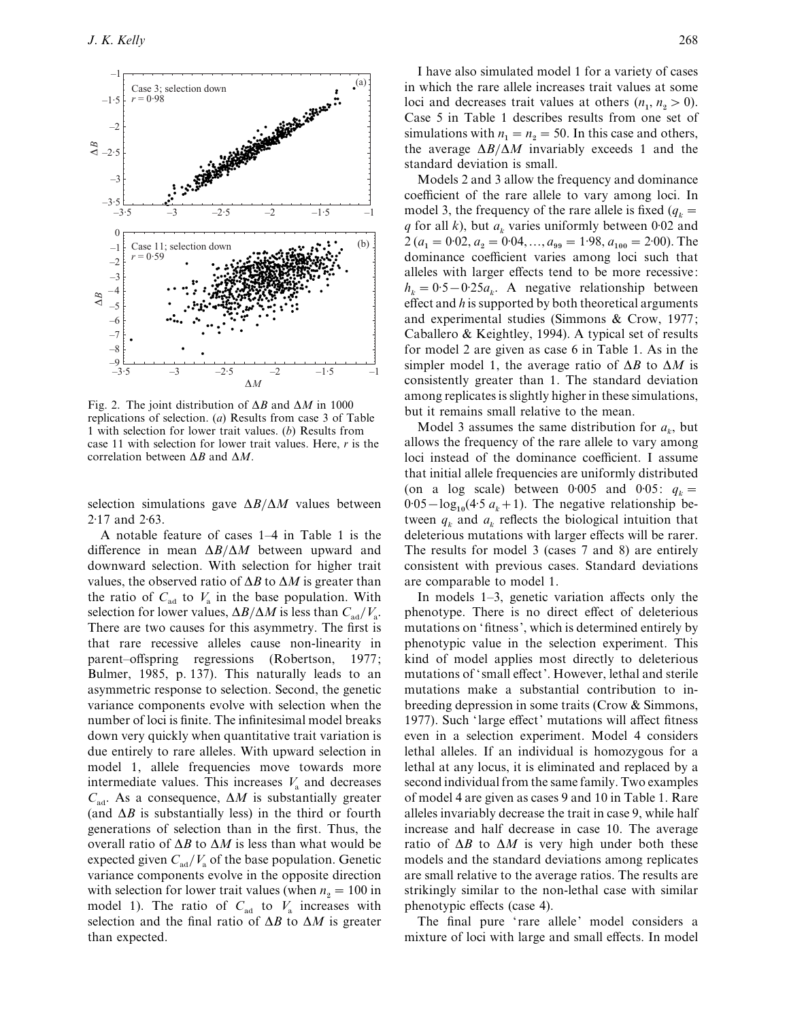

Fig. 2. The joint distribution of ∆*B* and ∆*M* in 1000 replications of selection. (*a*) Results from case 3 of Table 1 with selection for lower trait values. (*b*) Results from case 11 with selection for lower trait values. Here, *r* is the correlation between ∆*B* and ∆*M*.

selection simulations gave  $\Delta B/\Delta M$  values between  $2.17$  and  $2.63$ .

A notable feature of cases 1–4 in Table 1 is the difference in mean ∆*B*}∆*M* between upward and downward selection. With selection for higher trait values, the observed ratio of ∆*B* to ∆*M* is greater than the ratio of  $C_{ad}$  to  $V_a$  in the base population. With selection for lower values,  $\Delta B / \Delta M$  is less than *C*<sub>ad</sub>/*V*<sub>a</sub>. There are two causes for this asymmetry. The first is that rare recessive alleles cause non-linearity in parent–offspring regressions (Robertson, 1977; Bulmer, 1985, p. 137). This naturally leads to an asymmetric response to selection. Second, the genetic variance components evolve with selection when the number of loci is finite. The infinitesimal model breaks down very quickly when quantitative trait variation is due entirely to rare alleles. With upward selection in model 1, allele frequencies move towards more intermediate values. This increases  $V_a$  and decreases  $C_{ad}$ . As a consequence,  $\Delta M$  is substantially greater (and ∆*B* is substantially less) in the third or fourth generations of selection than in the first. Thus, the overall ratio of ∆*B* to ∆*M* is less than what would be expected given  $C_{\text{ad}}/V_{\text{a}}$  of the base population. Genetic variance components evolve in the opposite direction with selection for lower trait values (when  $n_2 = 100$  in model 1). The ratio of  $C_{\text{ad}}$  to  $V_{\text{a}}$  increases with selection and the final ratio of ∆*B* to ∆*M* is greater than expected.

I have also simulated model 1 for a variety of cases in which the rare allele increases trait values at some loci and decreases trait values at others  $(n_1, n_2 > 0)$ . Case 5 in Table 1 describes results from one set of simulations with  $n_1 = n_2 = 50$ . In this case and others, the average ∆*B*}∆*M* invariably exceeds 1 and the standard deviation is small.

Models 2 and 3 allow the frequency and dominance coefficient of the rare allele to vary among loci. In model 3, the frequency of the rare allele is fixed  $(q_k =$ *q* for all *k*), but  $a_k$  varies uniformly between 0.02 and  $2 (a_1 = 0.02, a_2 = 0.04, ..., a_{99} = 1.98, a_{100} = 2.00)$ . The dominance coefficient varies among loci such that alleles with larger effects tend to be more recessive:  $h_k = 0.5 - 0.25a_k$ . A negative relationship between effect and *h* is supported by both theoretical arguments and experimental studies (Simmons & Crow, 1977; Caballero & Keightley, 1994). A typical set of results for model 2 are given as case 6 in Table 1. As in the simpler model 1, the average ratio of ∆*B* to ∆*M* is consistently greater than 1. The standard deviation among replicates is slightly higher in these simulations, but it remains small relative to the mean.

Model 3 assumes the same distribution for  $a_k$ , but allows the frequency of the rare allele to vary among loci instead of the dominance coefficient. I assume that initial allele frequencies are uniformly distributed (on a log scale) between 0.005 and 0.05:  $q_k =$  $0.05 - \log_{10}(4.5 \ a_k + 1)$ . The negative relationship between  $q_k$  and  $a_k$  reflects the biological intuition that deleterious mutations with larger effects will be rarer. The results for model 3 (cases 7 and 8) are entirely consistent with previous cases. Standard deviations are comparable to model 1.

In models 1–3, genetic variation affects only the phenotype. There is no direct effect of deleterious mutations on 'fitness', which is determined entirely by phenotypic value in the selection experiment. This kind of model applies most directly to deleterious mutations of ' small effect'. However, lethal and sterile mutations make a substantial contribution to inbreeding depression in some traits (Crow & Simmons, 1977). Such 'large effect' mutations will affect fitness even in a selection experiment. Model 4 considers lethal alleles. If an individual is homozygous for a lethal at any locus, it is eliminated and replaced by a second individual from the same family. Two examples of model 4 are given as cases 9 and 10 in Table 1. Rare alleles invariably decrease the trait in case 9, while half increase and half decrease in case 10. The average ratio of  $\Delta B$  to  $\Delta M$  is very high under both these models and the standard deviations among replicates are small relative to the average ratios. The results are strikingly similar to the non-lethal case with similar phenotypic effects (case 4).

The final pure 'rare allele' model considers a mixture of loci with large and small effects. In model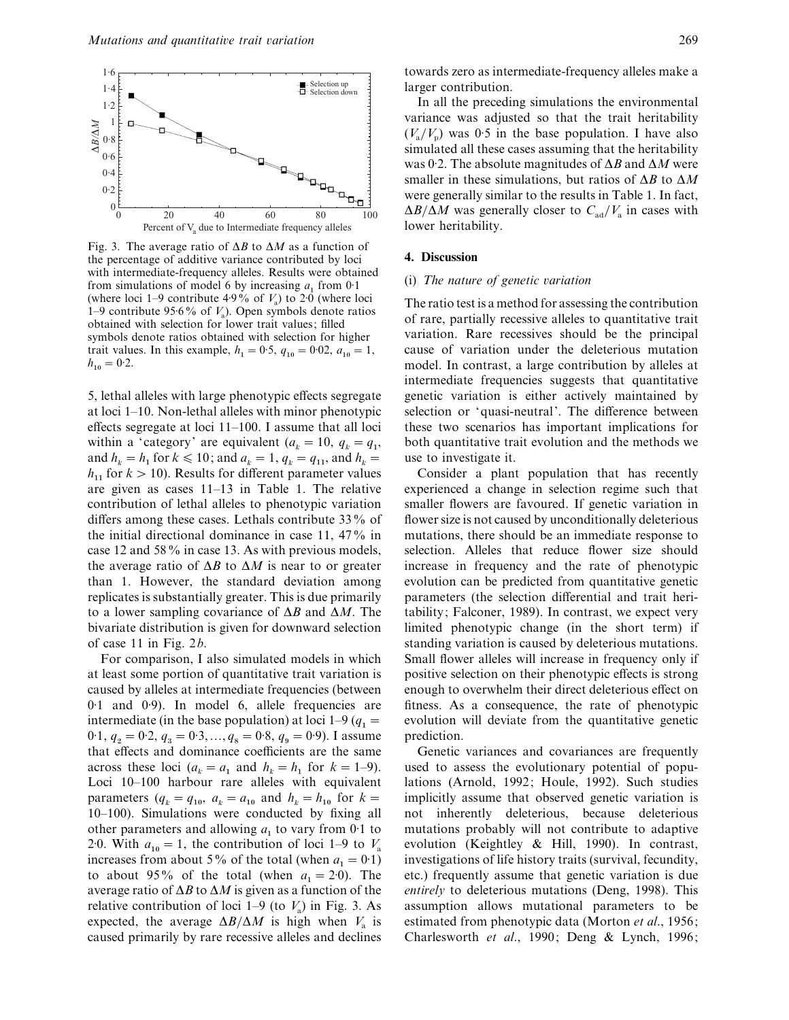

Fig. 3. The average ratio of ∆*B* to ∆*M* as a function of the percentage of additive variance contributed by loci with intermediate-frequency alleles. Results were obtained from simulations of model 6 by increasing  $a_1$  from 0.1 (where loci 1–9 contribute  $4.9\%$  of  $V_a$ ) to 2.0 (where loci 1–9 contribute  $95.6\%$  of  $V_a$ ). Open symbols denote ratios obtained with selection for lower trait values; filled symbols denote ratios obtained with selection for higher trait values. In this example,  $h_1 = 0.5$ ,  $q_{10} = 0.02$ ,  $a_{10} = 1$ ,  $h_{10} = 0.2.$ 

5, lethal alleles with large phenotypic effects segregate at loci 1–10. Non-lethal alleles with minor phenotypic effects segregate at loci 11–100. I assume that all loci within a 'category' are equivalent ( $a_k = 10$ ,  $q_k = q_1$ , and  $h_k = h_1$  for  $k \le 10$ ; and  $a_k = 1$ ,  $q_k = q_{11}$ , and  $h_k =$  $h_{11}$  for  $k > 10$ ). Results for different parameter values are given as cases 11–13 in Table 1. The relative contribution of lethal alleles to phenotypic variation differs among these cases. Lethals contribute 33% of the initial directional dominance in case 11, 47% in case 12 and 58% in case 13. As with previous models, the average ratio of ∆*B* to ∆*M* is near to or greater than 1. However, the standard deviation among replicates is substantially greater. This is due primarily to a lower sampling covariance of ∆*B* and ∆*M*. The bivariate distribution is given for downward selection of case 11 in Fig. 2*b*.

For comparison, I also simulated models in which at least some portion of quantitative trait variation is caused by alleles at intermediate frequencies (between 0.1 and 0.9). In model 6, allele frequencies are intermediate (in the base population) at loci  $1-9$  ( $q_1 =$  $0.1, q_2 = 0.2, q_3 = 0.3, ..., q_8 = 0.8, q_9 = 0.9$ ). I assume that effects and dominance coefficients are the same across these loci  $(a_k = a_1 \text{ and } h_k = h_1 \text{ for } k = 1-9)$ . Loci 10–100 harbour rare alleles with equivalent parameters  $(q_k = q_{10}, a_k = a_{10} \text{ and } h_k = h_{10} \text{ for } k = 1$ 10–100). Simulations were conducted by fixing all other parameters and allowing  $a_1$  to vary from 0.1 to 2.0. With  $a_{10} = 1$ , the contribution of loci 1–9 to  $V_a$  increases from about 5% of the total (when  $a_1 = 0.1$ )  $_1 = 0.1$ to about 95% of the total (when  $a_1 = 2.0$ ). The average ratio of ∆*B* to ∆*M* is given as a function of the relative contribution of loci 1–9 (to  $V_a$ ) in Fig. 3. As expected, the average  $\Delta B/\Delta M$  is high when  $V_a$  is caused primarily by rare recessive alleles and declines

towards zero as intermediate-frequency alleles make a larger contribution.

In all the preceding simulations the environmental variance was adjusted so that the trait heritability  $(V_a/V_p)$  was 0.5 in the base population. I have also simulated all these cases assuming that the heritability was 0±2. The absolute magnitudes of ∆*B* and ∆*M* were smaller in these simulations, but ratios of ∆*B* to ∆*M* were generally similar to the results in Table 1. In fact,  $\Delta B/\Delta M$  was generally closer to  $C_{ad}/V_a$  in cases with lower heritability.

#### **4. Discussion**

## (i) *The nature of genetic ariation*

The ratio test is a method for assessing the contribution of rare, partially recessive alleles to quantitative trait variation. Rare recessives should be the principal cause of variation under the deleterious mutation model. In contrast, a large contribution by alleles at intermediate frequencies suggests that quantitative genetic variation is either actively maintained by selection or 'quasi-neutral'. The difference between these two scenarios has important implications for both quantitative trait evolution and the methods we use to investigate it.

Consider a plant population that has recently experienced a change in selection regime such that smaller flowers are favoured. If genetic variation in flower size is not caused by unconditionally deleterious mutations, there should be an immediate response to selection. Alleles that reduce flower size should increase in frequency and the rate of phenotypic evolution can be predicted from quantitative genetic parameters (the selection differential and trait heritability; Falconer, 1989). In contrast, we expect very limited phenotypic change (in the short term) if standing variation is caused by deleterious mutations. Small flower alleles will increase in frequency only if positive selection on their phenotypic effects is strong enough to overwhelm their direct deleterious effect on fitness. As a consequence, the rate of phenotypic evolution will deviate from the quantitative genetic prediction.

Genetic variances and covariances are frequently used to assess the evolutionary potential of populations (Arnold, 1992; Houle, 1992). Such studies implicitly assume that observed genetic variation is not inherently deleterious, because deleterious mutations probably will not contribute to adaptive evolution (Keightley & Hill, 1990). In contrast, investigations of life history traits (survival, fecundity, etc.) frequently assume that genetic variation is due *entirely* to deleterious mutations (Deng, 1998). This assumption allows mutational parameters to be estimated from phenotypic data (Morton *et al*., 1956; Charlesworth *et al*., 1990; Deng & Lynch, 1996;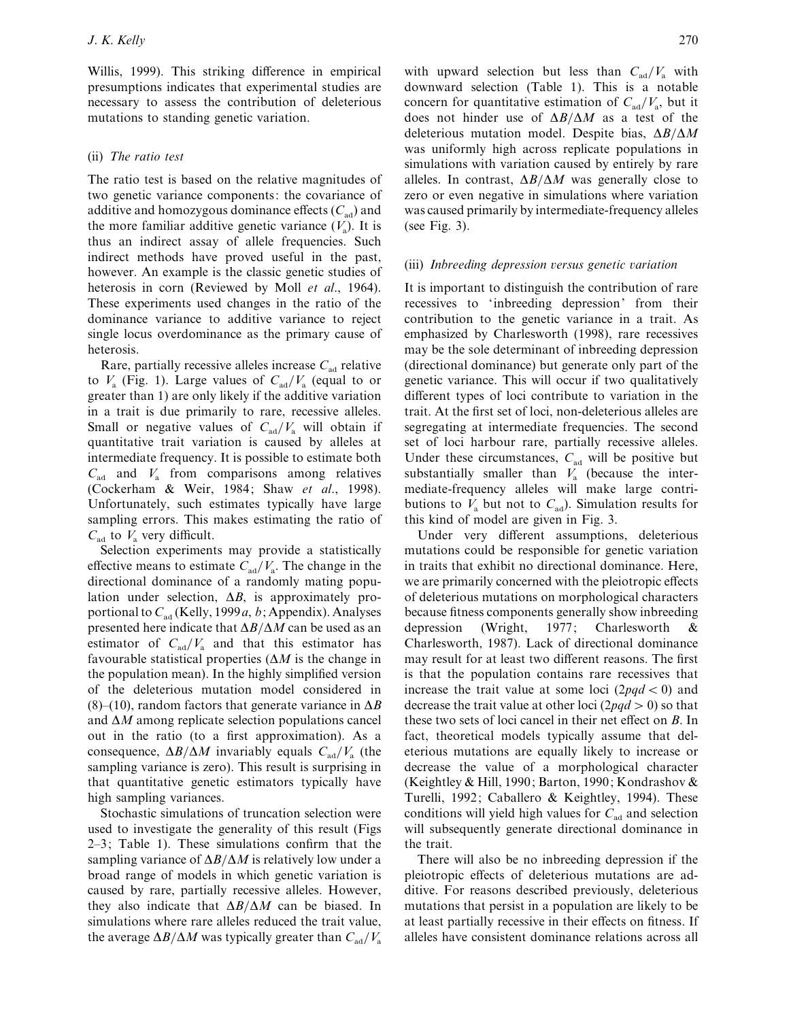Willis, 1999). This striking difference in empirical presumptions indicates that experimental studies are necessary to assess the contribution of deleterious mutations to standing genetic variation.

# (ii) *The ratio test*

The ratio test is based on the relative magnitudes of two genetic variance components: the covariance of additive and homozygous dominance effects  $(C_{ad})$  and the more familiar additive genetic variance  $(V_a)$ . It is thus an indirect assay of allele frequencies. Such indirect methods have proved useful in the past, however. An example is the classic genetic studies of heterosis in corn (Reviewed by Moll *et al*., 1964). These experiments used changes in the ratio of the dominance variance to additive variance to reject single locus overdominance as the primary cause of heterosis.

Rare, partially recessive alleles increase  $C_{ad}$  relative to  $V_a$  (Fig. 1). Large values of  $C_{\text{ad}}/V_a$  (equal to or greater than 1) are only likely if the additive variation in a trait is due primarily to rare, recessive alleles. Small or negative values of  $C_{ad}/V_a$  will obtain if quantitative trait variation is caused by alleles at intermediate frequency. It is possible to estimate both  $C_{\text{ad}}$  and  $V_{\text{a}}$  from comparisons among relatives (Cockerham & Weir, 1984; Shaw *et al*., 1998). Unfortunately, such estimates typically have large sampling errors. This makes estimating the ratio of  $C_{\text{ad}}$  to  $V_{\text{a}}$  very difficult.

Selection experiments may provide a statistically effective means to estimate  $C_{\text{ad}}/V_a$ . The change in the directional dominance of a randomly mating population under selection, ∆*B*, is approximately proportional to  $C_{ad}$  (Kelly, 1999*a*, *b*; Appendix). Analyses presented here indicate that ∆*B*}∆*M* can be used as an estimator of  $C_{ad}/V_a$  and that this estimator has favourable statistical properties (∆*M* is the change in the population mean). In the highly simplified version of the deleterious mutation model considered in (8)–(10), random factors that generate variance in ∆*B* and ∆*M* among replicate selection populations cancel out in the ratio (to a first approximation). As a consequence,  $\Delta B/\Delta M$  invariably equals  $C_{ad}/V_a$  (the sampling variance is zero). This result is surprising in that quantitative genetic estimators typically have high sampling variances.

Stochastic simulations of truncation selection were used to investigate the generality of this result (Figs 2–3; Table 1). These simulations confirm that the sampling variance of ∆*B*}∆*M* is relatively low under a broad range of models in which genetic variation is caused by rare, partially recessive alleles. However, they also indicate that ∆*B*}∆*M* can be biased. In simulations where rare alleles reduced the trait value, the average  $\Delta B/\Delta M$  was typically greater than  $C_{ad}/V_a$ 

with upward selection but less than  $C_{ad}/V_a$  with downward selection (Table 1). This is a notable concern for quantitative estimation of  $C_{\text{ad}}/V_{\text{a}}$ , but it does not hinder use of ∆*B*}∆*M* as a test of the deleterious mutation model. Despite bias, ∆*B*}∆*M* was uniformly high across replicate populations in simulations with variation caused by entirely by rare alleles. In contrast, ∆*B*}∆*M* was generally close to zero or even negative in simulations where variation was caused primarily by intermediate-frequency alleles (see Fig. 3).

## (iii) *Inbreeding depression ersus genetic ariation*

It is important to distinguish the contribution of rare recessives to 'inbreeding depression' from their contribution to the genetic variance in a trait. As emphasized by Charlesworth (1998), rare recessives may be the sole determinant of inbreeding depression (directional dominance) but generate only part of the genetic variance. This will occur if two qualitatively different types of loci contribute to variation in the trait. At the first set of loci, non-deleterious alleles are segregating at intermediate frequencies. The second set of loci harbour rare, partially recessive alleles. Under these circumstances,  $C_{ad}$  will be positive but substantially smaller than  $V_a$  (because the intermediate-frequency alleles will make large contributions to  $V_a$  but not to  $C_{ad}$ ). Simulation results for this kind of model are given in Fig. 3.

Under very different assumptions, deleterious mutations could be responsible for genetic variation in traits that exhibit no directional dominance. Here, we are primarily concerned with the pleiotropic effects of deleterious mutations on morphological characters because fitness components generally show inbreeding depression (Wright, 1977; Charlesworth & Charlesworth, 1987). Lack of directional dominance may result for at least two different reasons. The first is that the population contains rare recessives that increase the trait value at some loci  $(2pqd < 0)$  and decrease the trait value at other loci  $(2pqd > 0)$  so that these two sets of loci cancel in their net effect on *B*. In fact, theoretical models typically assume that deleterious mutations are equally likely to increase or decrease the value of a morphological character (Keightley & Hill, 1990; Barton, 1990; Kondrashov & Turelli, 1992; Caballero & Keightley, 1994). These conditions will yield high values for  $C_{ad}$  and selection will subsequently generate directional dominance in the trait.

There will also be no inbreeding depression if the pleiotropic effects of deleterious mutations are additive. For reasons described previously, deleterious mutations that persist in a population are likely to be at least partially recessive in their effects on fitness. If alleles have consistent dominance relations across all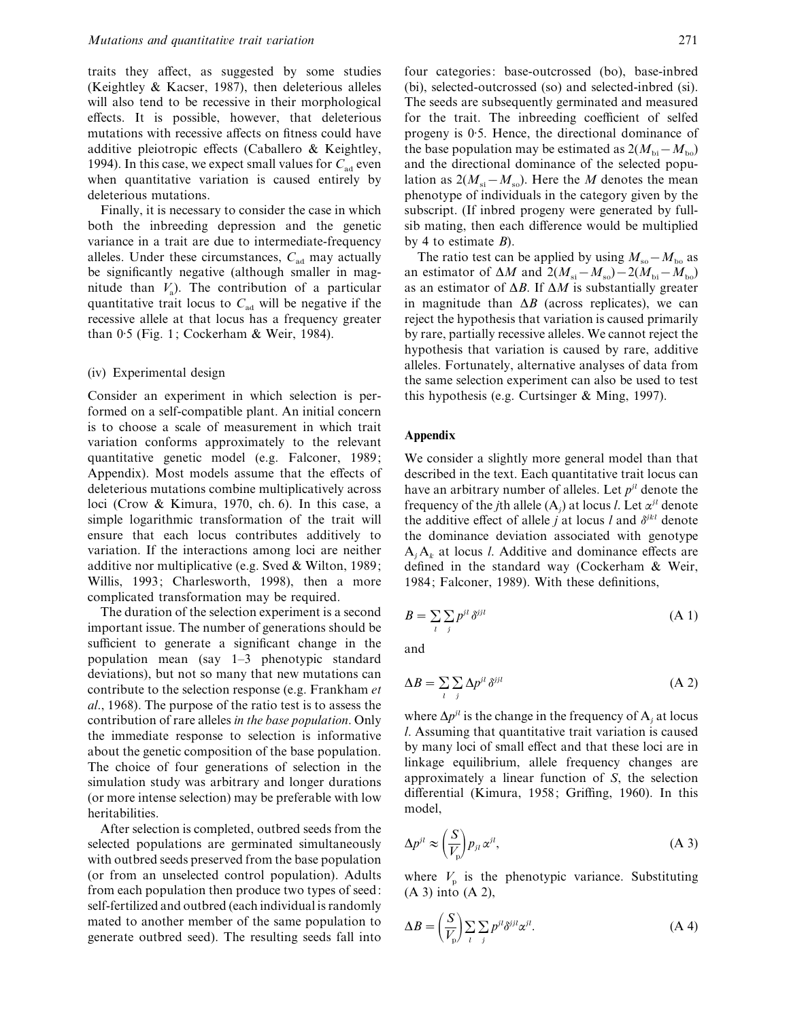traits they affect, as suggested by some studies (Keightley & Kacser, 1987), then deleterious alleles will also tend to be recessive in their morphological effects. It is possible, however, that deleterious mutations with recessive affects on fitness could have additive pleiotropic effects (Caballero & Keightley, 1994). In this case, we expect small values for  $C_{ad}$  even when quantitative variation is caused entirely by deleterious mutations.

Finally, it is necessary to consider the case in which both the inbreeding depression and the genetic variance in a trait are due to intermediate-frequency alleles. Under these circumstances,  $C_{ad}$  may actually be significantly negative (although smaller in magnitude than *V*<sup>a</sup> ). The contribution of a particular quantitative trait locus to  $C<sub>ad</sub>$  will be negative if the recessive allele at that locus has a frequency greater than  $0.5$  (Fig. 1; Cockerham & Weir, 1984).

### (iv) Experimental design

Consider an experiment in which selection is performed on a self-compatible plant. An initial concern is to choose a scale of measurement in which trait variation conforms approximately to the relevant quantitative genetic model (e.g. Falconer, 1989; Appendix). Most models assume that the effects of deleterious mutations combine multiplicatively across loci (Crow & Kimura, 1970, ch. 6). In this case, a simple logarithmic transformation of the trait will ensure that each locus contributes additively to variation. If the interactions among loci are neither additive nor multiplicative (e.g. Sved & Wilton, 1989; Willis, 1993; Charlesworth, 1998), then a more complicated transformation may be required.

The duration of the selection experiment is a second important issue. The number of generations should be sufficient to generate a significant change in the population mean (say 1–3 phenotypic standard deviations), but not so many that new mutations can contribute to the selection response (e.g. Frankham *et al*., 1968). The purpose of the ratio test is to assess the contribution of rare alleles *in the base population*. Only the immediate response to selection is informative about the genetic composition of the base population. The choice of four generations of selection in the simulation study was arbitrary and longer durations (or more intense selection) may be preferable with low heritabilities.

After selection is completed, outbred seeds from the selected populations are germinated simultaneously with outbred seeds preserved from the base population (or from an unselected control population). Adults from each population then produce two types of seed: self-fertilized and outbred (each individual is randomly mated to another member of the same population to generate outbred seed). The resulting seeds fall into

four categories: base-outcrossed (bo), base-inbred (bi), selected-outcrossed (so) and selected-inbred (si). The seeds are subsequently germinated and measured for the trait. The inbreeding coefficient of selfed progeny is 0.5. Hence, the directional dominance of the base population may be estimated as  $2(M_{\text{bi}} - M_{\text{bo}})$ and the directional dominance of the selected population as  $2(M_{si} - M_{so})$ . Here the *M* denotes the mean phenotype of individuals in the category given by the subscript. (If inbred progeny were generated by fullsib mating, then each difference would be multiplied by 4 to estimate *B*).

The ratio test can be applied by using  $M_{\rm so} - M_{\rm ho}$  as an estimator of  $\Delta M$  and  $2(M_{\rm si}-M_{\rm so})-2(M_{\rm bi}-M_{\rm bo})$ as an estimator of ∆*B*. If ∆*M* is substantially greater in magnitude than  $\Delta B$  (across replicates), we can reject the hypothesis that variation is caused primarily by rare, partially recessive alleles. We cannot reject the hypothesis that variation is caused by rare, additive alleles. Fortunately, alternative analyses of data from the same selection experiment can also be used to test this hypothesis (e.g. Curtsinger & Ming, 1997).

## **Appendix**

We consider a slightly more general model than that described in the text. Each quantitative trait locus can have an arbitrary number of alleles. Let *pjl* denote the frequency of the *j*th allele  $(A_j)$  at locus *l*. Let  $\alpha^{jl}$  denote the additive effect of allele *j* at locus *l* and  $\delta^{jkl}$  denote the dominance deviation associated with genotype  $A_j A_k$  at locus *l*. Additive and dominance effects are defined in the standard way (Cockerham & Weir, 1984; Falconer, 1989). With these definitions,

$$
B = \sum_{i} \sum_{j} p^{jl} \,\delta^{jjl} \tag{A.1}
$$

and

$$
\Delta B = \sum_{i} \sum_{j} \Delta p^{ji} \delta^{jji} \tag{A 2}
$$

where  $\Delta p^{jl}$  is the change in the frequency of A<sub>*j*</sub> at locus *l*. Assuming that quantitative trait variation is caused by many loci of small effect and that these loci are in linkage equilibrium, allele frequency changes are approximately a linear function of *S*, the selection differential (Kimura, 1958; Griffing, 1960). In this model,

$$
\Delta p^{jl} \approx \left(\frac{S}{V_p}\right) p_{jl} \alpha^{jl},\tag{A 3}
$$

where  $V_p$  is the phenotypic variance. Substituting (A 3) into (A 2),

$$
\Delta B = \left(\frac{S}{V_p}\right) \sum_{l} \sum_{j} p^{jl} \delta^{jl} \alpha^{jl}.
$$
 (A 4)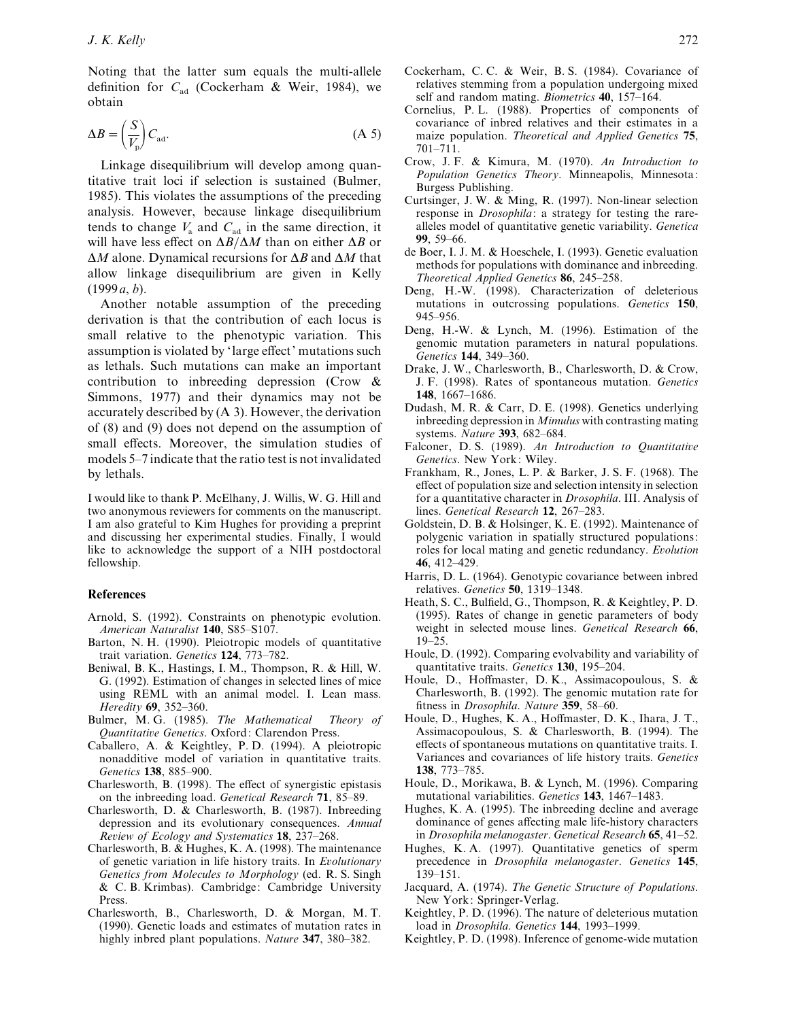Noting that the latter sum equals the multi-allele definition for  $C_{ad}$  (Cockerham & Weir, 1984), we obtain

$$
\Delta B = \left(\frac{S}{V_{\rm p}}\right) C_{\rm ad}.\tag{A 5}
$$

Linkage disequilibrium will develop among quantitative trait loci if selection is sustained (Bulmer, 1985). This violates the assumptions of the preceding analysis. However, because linkage disequilibrium tends to change  $V_a$  and  $C_{ad}$  in the same direction, it will have less effect on ∆*B*}∆*M* than on either ∆*B* or ∆*M* alone. Dynamical recursions for ∆*B* and ∆*M* that allow linkage disequilibrium are given in Kelly (1999*a*, *b*).

Another notable assumption of the preceding derivation is that the contribution of each locus is small relative to the phenotypic variation. This assumption is violated by 'large effect' mutations such as lethals. Such mutations can make an important contribution to inbreeding depression (Crow & Simmons, 1977) and their dynamics may not be accurately described by (A 3). However, the derivation of (8) and (9) does not depend on the assumption of small effects. Moreover, the simulation studies of models 5–7 indicate that the ratio test is not invalidated by lethals.

I would like to thank P. McElhany, J. Willis, W. G. Hill and two anonymous reviewers for comments on the manuscript. I am also grateful to Kim Hughes for providing a preprint and discussing her experimental studies. Finally, I would like to acknowledge the support of a NIH postdoctoral fellowship.

# **References**

- Arnold, S. (1992). Constraints on phenotypic evolution. *American Naturalist* **140**, S85–S107.
- Barton, N. H. (1990). Pleiotropic models of quantitative trait variation. *Genetics* **124**, 773–782.
- Beniwal, B. K., Hastings, I. M., Thompson, R. & Hill, W. G. (1992). Estimation of changes in selected lines of mice using REML with an animal model. I. Lean mass. *Heredity* **69**, 352–360.
- Bulmer, M. G. (1985). *The Mathematical Theory of Quantitatie Genetics*. Oxford: Clarendon Press.
- Caballero, A. & Keightley, P. D. (1994). A pleiotropic nonadditive model of variation in quantitative traits. *Genetics* **138**, 885–900.
- Charlesworth, B. (1998). The effect of synergistic epistasis on the inbreeding load. *Genetical Research* **71**, 85–89.
- Charlesworth, D. & Charlesworth, B. (1987). Inbreeding depression and its evolutionary consequences. *Annual Reiew of Ecology and Systematics* **18**, 237–268.
- Charlesworth, B. & Hughes, K. A. (1998). The maintenance of genetic variation in life history traits. In *Eolutionary Genetics from Molecules to Morphology* (ed. R. S. Singh & C. B. Krimbas). Cambridge: Cambridge University Press.
- Charlesworth, B., Charlesworth, D. & Morgan, M. T. (1990). Genetic loads and estimates of mutation rates in highly inbred plant populations. *Nature* **347**, 380–382.
- Cockerham, C. C. & Weir, B. S. (1984). Covariance of relatives stemming from a population undergoing mixed self and random mating. *Biometrics* **40**, 157–164.
- Cornelius, P. L. (1988). Properties of components of covariance of inbred relatives and their estimates in a maize population. *Theoretical and Applied Genetics* **75**, 701–711.
- Crow, J. F. & Kimura, M. (1970). *An Introduction to Population Genetics Theory*. Minneapolis, Minnesota: Burgess Publishing.
- Curtsinger, J. W. & Ming, R. (1997). Non-linear selection response in *Drosophila*: a strategy for testing the rarealleles model of quantitative genetic variability. *Genetica* **99**, 59–66.
- de Boer, I. J. M. & Hoeschele, I. (1993). Genetic evaluation methods for populations with dominance and inbreeding. *Theoretical Applied Genetics* **86**, 245–258.
- Deng, H.-W. (1998). Characterization of deleterious mutations in outcrossing populations. *Genetics* **150**, 945–956.
- Deng, H.-W. & Lynch, M. (1996). Estimation of the genomic mutation parameters in natural populations. *Genetics* **144**, 349–360.
- Drake, J. W., Charlesworth, B., Charlesworth, D. & Crow, J. F. (1998). Rates of spontaneous mutation. *Genetics* **148**, 1667–1686.
- Dudash, M. R. & Carr, D. E. (1998). Genetics underlying inbreeding depression in *Mimulus* with contrasting mating systems. *Nature* **393**, 682–684.
- Falconer, D. S. (1989). *An Introduction to Quantitatie Genetics*. New York: Wiley.
- Frankham, R., Jones, L. P. & Barker, J. S. F. (1968). The effect of population size and selection intensity in selection for a quantitative character in *Drosophila*. III. Analysis of lines. *Genetical Research* **12**, 267–283.
- Goldstein, D. B. & Holsinger, K. E. (1992). Maintenance of polygenic variation in spatially structured populations: roles for local mating and genetic redundancy. *Eolution* **46**, 412–429.
- Harris, D. L. (1964). Genotypic covariance between inbred relatives. *Genetics* **50**, 1319–1348.
- Heath, S. C., Bulfield, G., Thompson, R. & Keightley, P. D. (1995). Rates of change in genetic parameters of body weight in selected mouse lines. *Genetical Research* **66**, 19–25.
- Houle, D. (1992). Comparing evolvability and variability of quantitative traits. *Genetics* **130**, 195–204.
- Houle, D., Hoffmaster, D. K., Assimacopoulous, S. & Charlesworth, B. (1992). The genomic mutation rate for fitness in *Drosophila*. *Nature* **359**, 58–60.
- Houle, D., Hughes, K. A., Hoffmaster, D. K., Ihara, J. T., Assimacopoulous, S. & Charlesworth, B. (1994). The effects of spontaneous mutations on quantitative traits. I. Variances and covariances of life history traits. *Genetics* **138**, 773–785.
- Houle, D., Morikawa, B. & Lynch, M. (1996). Comparing mutational variabilities. *Genetics* **143**, 1467–1483.
- Hughes, K. A. (1995). The inbreeding decline and average dominance of genes affecting male life-history characters in *Drosophila melanogaster*. *Genetical Research* **65**, 41–52.
- Hughes, K. A. (1997). Quantitative genetics of sperm precedence in *Drosophila melanogaster*. *Genetics* **145**, 139–151.
- Jacquard, A. (1974). *The Genetic Structure of Populations*. New York: Springer-Verlag.
- Keightley, P. D. (1996). The nature of deleterious mutation load in *Drosophila*. *Genetics* **144**, 1993–1999.
- Keightley, P. D. (1998). Inference of genome-wide mutation